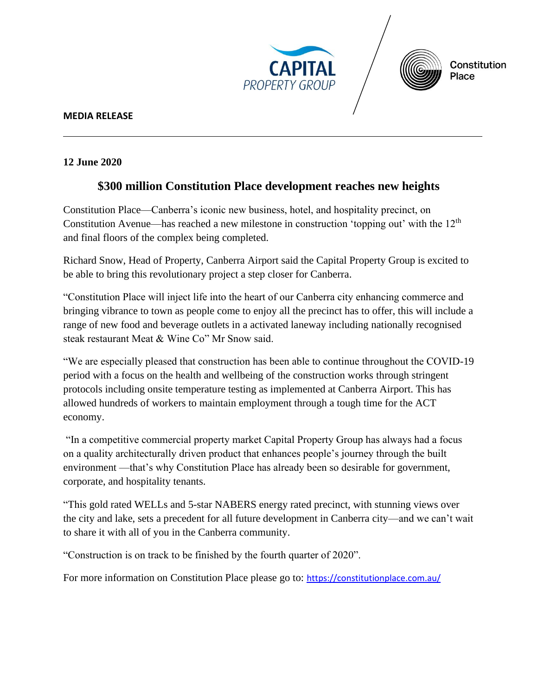



## **MEDIA RELEASE**

## **12 June 2020**

## **\$300 million Constitution Place development reaches new heights**

Constitution Place—Canberra's iconic new business, hotel, and hospitality precinct, on Constitution Avenue—has reached a new milestone in construction 'topping out' with the 12th and final floors of the complex being completed.

Richard Snow, Head of Property, Canberra Airport said the Capital Property Group is excited to be able to bring this revolutionary project a step closer for Canberra.

"Constitution Place will inject life into the heart of our Canberra city enhancing commerce and bringing vibrance to town as people come to enjoy all the precinct has to offer, this will include a range of new food and beverage outlets in a activated laneway including nationally recognised steak restaurant Meat & Wine Co" Mr Snow said.

"We are especially pleased that construction has been able to continue throughout the COVID-19 period with a focus on the health and wellbeing of the construction works through stringent protocols including onsite temperature testing as implemented at Canberra Airport. This has allowed hundreds of workers to maintain employment through a tough time for the ACT economy.

"In a competitive commercial property market Capital Property Group has always had a focus on a quality architecturally driven product that enhances people's journey through the built environment —that's why Constitution Place has already been so desirable for government, corporate, and hospitality tenants.

"This gold rated WELLs and 5-star NABERS energy rated precinct, with stunning views over the city and lake, sets a precedent for all future development in Canberra city—and we can't wait to share it with all of you in the Canberra community.

"Construction is on track to be finished by the fourth quarter of 2020".

For more information on Constitution Place please go to: <https://constitutionplace.com.au/>